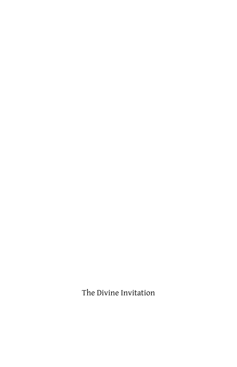The Divine Invitation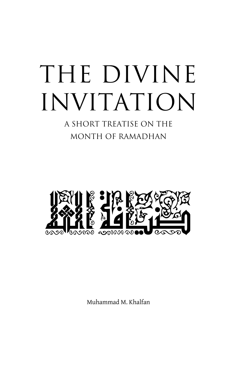A SHORT TREATISE ON THE MONTH OF RAMADHAN



Muhammad M. Khalfan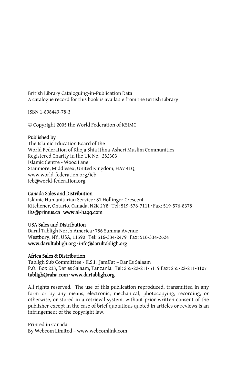British Library Cataloguing-in-Publication Data A catalogue record for this book is available from the British Library

ISBN 1-898449-78-3

© Copyright 2005 the World Federation of KSIMC

#### Published by

The Islamic Education Board of the World Federation of Khoja Shia Ithna-Asheri Muslim Communities Registered Charity in the UK No. 282303 Islamic Centre - Wood Lane Stanmore, Middlesex, United Kingdom, HA7 4LQ www.world-federation.org/ieb ieb@world-federation.org

#### Canada Sales and Distribution

Isl{mic Humanitarian Service · 81 Hollinger Crescent Kitchener, Ontario, Canada, N2K 2Y8 · Tel: 519-576-7111 · Fax: 519-576-8378 ihs@primus.ca · www.al-haqq.com

#### USA Sales and Distribution

Darul Tabligh North America · 786 Summa Avenue Westbury, NY, USA, 11590 · Tel: 516-334-2479 · Fax: 516-334-2624 www.darultabligh.org · info@darultabligh.org

#### Africa Sales & Distribution

Tabligh Sub Committtee - K.S.I. Jama'at - Dar Es Salaam P.O. Box 233, Dar es Salaam, Tanzania · Tel: 255-22-211-5119 Fax: 255-22-211-3107 tabligh@raha.com · www.dartabligh.org

All rights reserved. The use of this publication reproduced, transmitted in any form or by any means, electronic, mechanical, photocopying, recording, or otherwise, or stored in a retrieval system, without prior written consent of the publisher except in the case of brief quotations quoted in articles or reviews is an infringement of the copyright law.

Printed in Canada By Webcom Limited – www.webcomlink.com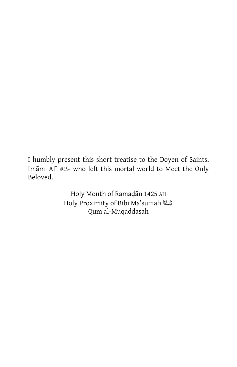I humbly present this short treatise to the Doyen of Saints, Imām ʿAlī ﷺ who left this mortal world to Meet the Only Beloved.

> Holy Month of Ramadan 1425 AH Holy Proximity of Bibi Ma'sumah Qum al-Muqaddasah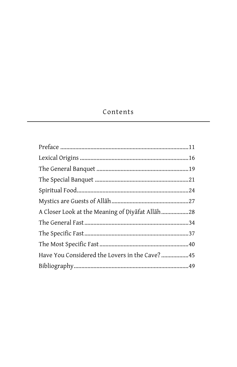# Contents

| Have You Considered the Lovers in the Cave? 45 |  |
|------------------------------------------------|--|
|                                                |  |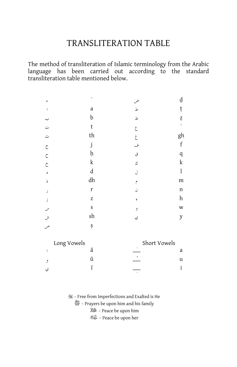# TRANSLITERATION TABLE

The method of transliteration of Islamic terminology from the Arabic language has been carried out according to the standard transliteration table mentioned below.

| ء                    | $\,$        | ض                        | ạ              |
|----------------------|-------------|--------------------------|----------------|
| $\sqrt{2}$           | a           | ط                        | ţ              |
| ب                    | b           | ظ                        | Ź.             |
| ت<br>                | $\mathsf t$ | $\hat{\zeta}$            | $\mathsf{c}\,$ |
| ث                    | th          | $\dot{\boldsymbol{\xi}}$ | gh             |
| $\tilde{\mathbb{C}}$ | j           | ف                        | $\mathbf f$    |
| $\zeta$              | ķ           | ق                        | $\rm q$        |
| $\dot{\zeta}$        | $\mathbf k$ | ك                        | $\mathbf k$    |
| د                    | $\rm d$     | J                        | $\mathbf{l}$   |
| ذ                    | dh          | $\hat{\mathcal{C}}$      | m              |
| ر                    | r           | ن                        | n              |
| ز                    | Z           | ٥                        | h              |
|                      | S           | و                        | W              |
| س<br>ش<br>ص          | sh          | ي                        | y              |
|                      | Ş           |                          |                |
| Long Vowels          |             | Short Vowels             |                |

| Long Vowels | Short Vowels |  |
|-------------|--------------|--|
|             | ۰            |  |
|             | ¢            |  |
|             |              |  |

**35 - Free from Imperfections and Exalted is He** 

**※** - Prayers be upon him and his family

- Peace be upon him

- Peace be upon her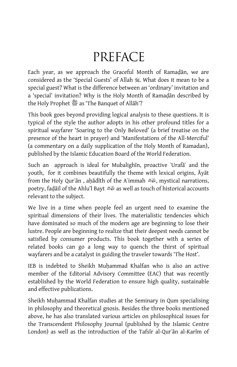# PREFACE

Each year, as we approach the Graceful Month of Ramadan, we are considered as the 'Special Guests' of Allah . What does it mean to be a special guest? What is the difference between an 'ordinary' invitation and a 'special' invitation? Why is the Holy Month of Ramadan described by the Holy Prophet  $\frac{36}{100}$  as 'The Banquet of Allah'?

This book goes beyond providing logical analysis to these questions. It is typical of the style the author adopts in his other profound titles for a spiritual wayfarer 'Soaring to the Only Beloved' (a brief treatise on the presence of the heart in prayer) and 'Manifestations of the All-Merciful' (a commentary on a daily supplication of the Holy Month of Ramadan), published by the Islamic Education Board of the World Federation.

Such an approach is ideal for Mubalighin, proactive 'Urafa' and the youth, for it combines beautifully the theme with lexical origins,  $\bar{A}y\bar{a}t$ from the Holy Qur'an, aḥadīth of the A'immah  $\triangleq$ , mystical narrations, poetry, fadail of the Ahlu'l Bayt  $\triangle$  as well as touch of historical accounts relevant to the subject.

We live in a time when people feel an urgent need to examine the spiritual dimensions of their lives. The materialistic tendencies which have dominated so much of the modern age are beginning to lose their lustre. People are beginning to realize that their deepest needs cannot be satisfied by consumer products. This book together with a series of related books can go a long way to quench the thirst of spiritual wayfarers and be a catalyst in guiding the traveler towards 'The Host'.

IEB is indebted to Sheikh Muhammad Khalfan who is also an active member of the Editorial Advisory Committee (EAC) that was recently established by the World Federation to ensure high quality, sustainable and effective publications.

Sheikh Muhammad Khalfan studies at the Seminary in Qum specialising in philosophy and theoretical gnosis. Besides the three books mentioned above, he has also translated various articles on philosophical issues for the Transcendent Philosophy Journal (published by the Islamic Centre London) as well as the introduction of the Tafsir al-Qur'an al-Karim of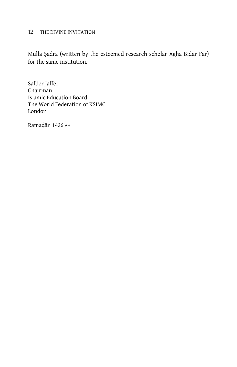Mullā Șadra (written by the esteemed research scholar Aghā Bidār Far) for the same institution.

Safder Jaffer Chairman Islamic Education Board The World Federation of KSIMC London

Ramadān 1426 AH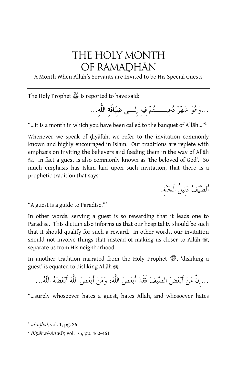# THE HOLY MONTH OF RAMADHAN

A Month When Allah's Servants are Invited to be His Special Guests

The Holy Prophet *&* is reported to have said:

...وَهُوَ شَهْرٌ دُعيــــــتُمْ فيه إلــــىٰ **ضيَافَةِ اللُّه**...

"…It is a month in which you have been called to the banquet of Allāh..."

Whenever we speak of diyafah, we refer to the invitation commonly known and highly encouraged in Islam. Our traditions are replete with emphasis on inviting the believers and feeding them in the way of Allah **i.** In fact a guest is also commonly known as 'the beloved of God'. So much emphasis has Islam laid upon such invitation, that there is a prophetic tradition that says:

أَلضيف دلِيلُ الْجنة.ِ

"A guest is a guide to Paradise."2

In other words, serving a guest is so rewarding that it leads one to Paradise. This dictum also informs us that our hospitality should be such that it should qualify for such a reward. In other words, our invitation should not involve things that instead of making us closer to Allah  $\mathcal{H},$ separate us from His neighborhood.

In another tradition narrated from the Holy Prophet *\$*, 'disliking a guest' is equated to disliking Allah  $\ddot{\mathscr{E}}$ :

...إِنَّّ من أَبغض الضيف فَقَد أَبغض اللٌّه، ومن أَبغض اللٌّه أَبغضه اللٌّه...

"...surely whosoever hates a guest, hates Allah, and whosoever hates

 $^{1}$  al-Iqbāl, vol. 1, pg. 26

 $^{2}$  Bihār al-Anwār, vol. 75, pp. 460-461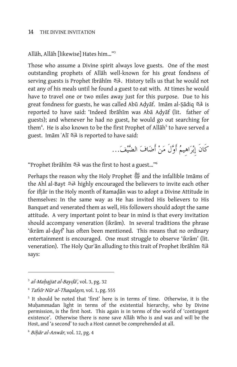Allāh, Allāh [likewise] Hates him..."<sup>3</sup>

Those who assume a Divine spirit always love guests. One of the most outstanding prophets of Allah well-known for his great fondness of serving guests is Prophet Ibrāhīm . الملك . History tells us that he would not eat any of his meals until he found a guest to eat with. At times he would have to travel one or two miles away just for this purpose. Due to his great fondness for guests, he was called Abū Adyāf. Imām al-Ṣādiq كتيك is reported to have said: 'Indeed Ibrāhīm was Abā Adyāf (lit. father of guests); and whenever he had no guest, he would go out searching for them<sup>4</sup>. He is also known to be the first Prophet of Allāh<sup>5</sup> to have served a guest. Im{m ˜Al| is reported to have said:

كَانَ إِبراهِيم أَولَ من أَضاف الضيف...

"Prophet Ibr{h|m was the first to host a guest…"6

Perhaps the reason why the Holy Prophet  $\mathbb{Z}$  and the infallible Imams of the Ahl al-Bayt highly encouraged the believers to invite each other for iftar in the Holy month of Ramadan was to adopt a Divine Attitude in themselves: In the same way as He has invited His believers to His Banquet and venerated them as well, His followers should adopt the same attitude. A very important point to bear in mind is that every invitation should accompany veneration (ikram). In several traditions the phrase 'ikrām al-dayf' has often been mentioned. This means that no ordinary entertainment is encouraged. One must struggle to observe 'ikrām' (lit. veneration). The Holy Qur'an alluding to this trait of Prophet Ibrahim بَلَيْك says:

-

 $3$  al-Mahajjat al-Bayd $\bar{a}$ , vol. 3, pg. 32

 $4$  Tafsir Nūr al-Thagalayn, vol. 1, pg. 555

<sup>&</sup>lt;sup>5</sup> It should be noted that 'first' here is in terms of time. Otherwise, it is the Muhammadan light in terms of the existential hierarchy, who by Divine permission, is the first host. This again is in terms of the world of 'contingent existence'. Otherwise there is none save Allah Who is and was and will be the Host, and 'a second' to such a Host cannot be comprehended at all.

 $6$  Bihār al-Anwār, vol. 12, pg. 4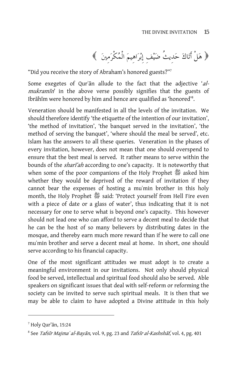$$
\left\langle \left( \begin{array}{c} \frac{1}{2} \left( \frac{1}{2} \right)^{\frac{1}{2}} & \frac{1}{2} \left( \frac{1}{2} \right)^{\frac{1}{2}} \left( \frac{1}{2} \right)^{\frac{1}{2}} \left( \frac{1}{2} \right)^{\frac{1}{2}} \left( \frac{1}{2} \right)^{\frac{1}{2}} \left( \frac{1}{2} \right)^{\frac{1}{2}} \left( \frac{1}{2} \right)^{\frac{1}{2}} \left( \frac{1}{2} \right)^{\frac{1}{2}} \left( \frac{1}{2} \right)^{\frac{1}{2}} \left( \frac{1}{2} \right)^{\frac{1}{2}} \left( \frac{1}{2} \right)^{\frac{1}{2}} \left( \frac{1}{2} \right)^{\frac{1}{2}} \left( \frac{1}{2} \right)^{\frac{1}{2}} \left( \frac{1}{2} \right)^{\frac{1}{2}} \left( \frac{1}{2} \right)^{\frac{1}{2}} \left( \frac{1}{2} \right)^{\frac{1}{2}} \left( \frac{1}{2} \right)^{\frac{1}{2}} \left( \frac{1}{2} \right)^{\frac{1}{2}} \left( \frac{1}{2} \right)^{\frac{1}{2}} \left( \frac{1}{2} \right)^{\frac{1}{2}} \left( \frac{1}{2} \right)^{\frac{1}{2}} \left( \frac{1}{2} \right)^{\frac{1}{2}} \left( \frac{1}{2} \right)^{\frac{1}{2}} \left( \frac{1}{2} \right)^{\frac{1}{2}} \left( \frac{1}{2} \right)^{\frac{1}{2}} \left( \frac{1}{2} \right)^{\frac{1}{2}} \left( \frac{1}{2} \right)^{\frac{1}{2}} \left( \frac{1}{2} \right)^{\frac{1}{2}} \left( \frac{1}{2} \right)^{\frac{1}{2}} \left( \frac{1}{2} \right)^{\frac{1}{2}} \left( \frac{1}{2} \right)^{\frac{1}{2}} \left( \frac{1}{2} \right)^{\frac{1}{2}} \left( \frac{1}{2} \right)^{\frac{1}{2}} \left( \frac{1}{2} \right)^{\frac{1}{2}} \left( \frac{1}{2} \right)^{\frac{1}{2}} \left( \frac{1}{2} \right)^{\frac{1}{2}} \left( \frac{1}{2}
$$

"Did you receive the story of Abraham's honored guests?"7

Some exegetes of Qur'an allude to the fact that the adjective 'almukramin' in the above verse possibly signifies that the guests of Ibrāhīm were honored by him and hence are qualified as 'honored'<sup>8</sup>.

Veneration should be manifested in all the levels of the invitation. We should therefore identify 'the etiquette of the intention of our invitation', 'the method of invitation', 'the banquet served in the invitation', 'the method of serving the banquet', 'where should the meal be served', etc. Islam has the answers to all these queries. Veneration in the phases of every invitation, however, does not mean that one should overspend to ensure that the best meal is served. It rather means to serve within the bounds of the *shart*<sup>ah</sup> according to one's capacity. It is noteworthy that when some of the poor companions of the Holy Prophet  $\mathbb{Z}$  asked him whether they would be deprived of the reward of invitation if they cannot bear the expenses of hosting a mu`min brother in this holy month, the Holy Prophet  $\frac{365}{125}$  said: 'Protect yourself from Hell Fire even with a piece of date or a glass of water', thus indicating that it is not necessary for one to serve what is beyond one's capacity. This however should not lead one who can afford to serve a decent meal to decide that he can be the host of so many believers by distributing dates in the mosque, and thereby earn much more reward than if he were to call one mu`min brother and serve a decent meal at home. In short, one should serve according to his financial capacity.

One of the most significant attitudes we must adopt is to create a meaningful environment in our invitations. Not only should physical food be served, intellectual and spiritual food should also be served. Able speakers on significant issues that deal with self-reform or reforming the society can be invited to serve such spiritual meals. It is then that we may be able to claim to have adopted a Divine attitude in this holy

 $<sup>7</sup>$  Holy Qur'ān, 15:24</sup>

<sup>&</sup>lt;sup>8</sup> See Tafsīr Majmaʿal-Bayān, vol. 9, pg. 23 and Tafsīr al-Kashshāf, vol. 4, pg. 401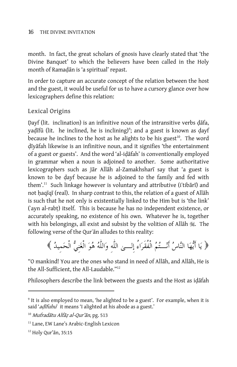month. In fact, the great scholars of gnosis have clearly stated that 'the Divine Banquet' to which the believers have been called in the Holy month of Ramadan is 'a spiritual' repast.

In order to capture an accurate concept of the relation between the host and the guest, it would be useful for us to have a cursory glance over how lexicographers define this relation:

# Lexical Origins

Dayf (lit. inclination) is an infinitive noun of the intransitive verbs dafa, yaḍīfū (lit. he inclined, he is inclining)<sup>9</sup>; and a guest is known as ḍayf because he inclines to the host as he alights to be his guest $10$ . The word dīyāfah likewise is an infinitive noun, and it signifies 'the entertainment of a guest or guests'. And the word 'al-idatah' is conventionally employed in grammar when a noun is adjoined to another. Some authoritative lexicographers such as Jār Allāh al-Zamakhsharī say that 'a guest is known to be dayf because he is adjoined to the family and fed with them'.<sup>11</sup> Such linkage however is voluntary and attributive (i'tibari) and not haqiqi (real). In sharp contrast to this, the relation of a guest of Allah is such that he not only is existentially linked to the Him but is 'the link' (˜ayn al-rab¢) itself. This is because he has no independent existence, or accurately speaking, no existence of his own. Whatever he is, together with his belongings, all exist and subsist by the volition of Allah  $\mathcal{H}$ . The following verse of the Qur'an alludes to this reality:

﴿ يَا أَيُّهَا النَّاسُ أَنْــتُمُ الْفُقَرَاءُ إِلـــىٰ اللّه وَاللّهُ هُوَ الْغَنِيُّ الْحَمِيدُ ﴾

"O mankind! You are the ones who stand in need of Allah, and Allah, He is the All-Sufficient, the All-Laudable."12

Philosophers describe the link between the guests and the Host as idafah

<sup>&</sup>lt;sup>9</sup> It is also employed to mean, 'he alighted to be a guest'. For example, when it is said 'adīfuhu' it means 'I alighted at his abode as a guest.'

<sup>&</sup>lt;sup>10</sup> Mufradātu Alfāz al-Qur'ān, pg. 513

<sup>&</sup>lt;sup>11</sup> Lane, EW Lane's Arabic-English Lexicon

<sup>&</sup>lt;sup>12</sup> Holy Qur'ān, 35:15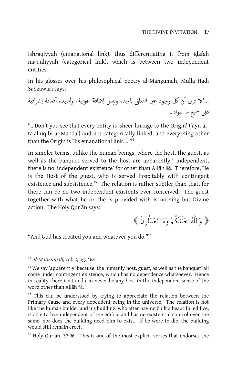ishrāqiyyah (emanational link), thus differentiating it from idāfah maʿqūliyyah (categorical link), which is between two independent entities.

In his glosses over his philosophical poetry al-Manzūmah, Mullā Hādī Sabzawārī says:

...الا ترى أ ّن ّكل وجود عين ا تعلق ل لماب بدء لويس إضافة مقوية، ل للم و بدء أضافة إ قشرا ية على جميع ما سواه...

"…Don't you see that every entity is 'sheer linkage to the Origin' (˜ayn alta'alluq bi al-Mabda') and not categorically linked, and everything other than the Origin is His emanational link...."<sup>13</sup>

In simpler terms, unlike the human beings, where the host, the guest, as well as the banquet served to the host are apparently<sup>14</sup> independent, there is no 'independent existence' for other than Allah , Therefore, He is the Host of the guest, who is served hospitably with contingent existence and subsistence.<sup>15</sup> The relation is rather subtler than that, for there can be no two independent existents ever conceived. The guest together with what he or she is provided with is nothing but Divine action. The Holy Qur'an says:

واللٌّه خلَقَكُم وما تعملُونَ

"And God has created you and whatever you do."16

 $13$  al-Manzūmah, vol. 2, pg. 468

 $14$  We say 'apparently' because 'the humanly host, guest, as well as the banquet' all come under contingent existence, which has no dependence whatsoever. Hence in reality there isn't and can never be any host in the independent sense of the word other than Allāh ...

<sup>&</sup>lt;sup>15</sup> This can be understood by trying to appreciate the relation between the Primary Cause and every dependent being in the universe. The relation is not like the human builder and his building, who after having built a beautiful edifice, is able to live independent of the edifice and has no existential control over the same, nor does the building need him to exist. If he were to die, the building would still remain erect.

<sup>&</sup>lt;sup>16</sup> Holy Qur'an, 37:96. This is one of the most explicit verses that endorses the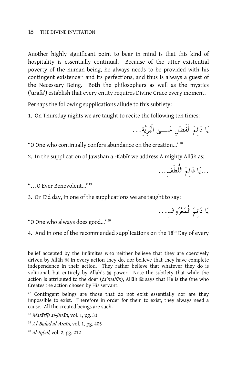Another highly significant point to bear in mind is that this kind of hospitality is essentially continual. Because of the utter existential poverty of the human being, he always needs to be provided with his contingent existence<sup>17</sup> and its perfections, and thus is always a guest of the Necessary Being. Both the philosophers as well as the mystics (˜uraf{') establish that every entity requires Divine Grace every moment.

Perhaps the following supplications allude to this subtlety:

1. On Thursday nights we are taught to recite the following ten times:

يا دائِم الْفَضلِ علـى الْبرِيةِ...

"O One who continually confers abundance on the creation…"18

2. In the supplication of Jawshan al-Kabir we address Almighty Allah as:

...يا دائِم اللُّطْف...ِ

"…O Ever Benevolent…"19

 $\overline{a}$ 

3. On Eid day, in one of the supplications we are taught to say:

يا دائِم الْمعروفِ...

"O One who always does good…"20

4. And in one of the recommended supplications on the  $18<sup>th</sup>$  Day of every

 $17$  Contingent beings are those that do not exist essentially nor are they impossible to exist. Therefore in order for them to exist, they always need a cause. All the created beings are such.

 $18$  *Mafātīh al-Jinān*, vol. 1, pg. 33

- $19$  Al-Balad al-Amīn, vol. 1, pg. 405
- $^{20}$  al-Igbal, vol. 2, pg. 212

belief accepted by the Imamites who neither believe that they are coercively driven by Allah  $\mathcal{H}$  in every action they do, nor believe that they have complete independence in their action. They rather believe that whatever they do is volitional, but entirely by Allah's # power. Note the subtlety that while the action is attributed to the doer (ta mal $\bar{u}$ n), Allāh is says that He is the One who Creates the action chosen by His servant.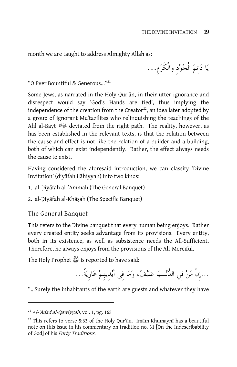month we are taught to address Almighty Allāh as:

يا دائِم الْجودِ والْكَرمِ...

"O Ever Bountiful & Generous…"21

Some Jews, as narrated in the Holy Qur'an, in their utter ignorance and disrespect would say 'God's Hands are tied', thus implying the independence of the creation from the Creator $^{22}$ , an idea later adopted by a group of ignorant Mu˜tazilites who relinquishing the teachings of the Ahl al-Bayt deviated from the right path. The reality, however, as has been established in the relevant texts, is that the relation between the cause and effect is not like the relation of a builder and a building, both of which can exist independently. Rather, the effect always needs the cause to exist.

Having considered the aforesaid introduction, we can classify 'Divine Invitation' (diyafah ilahiyyah) into two kinds:

- 1. al-Diyāfah al-'Āmmah (The General Banquet)
- 2. al-Diyāfah al-Khāsah (The Specific Banquet)

The General Banquet

This refers to the Divine banquet that every human being enjoys. Rather every created entity seeks advantage from its provisions. Every entity, both in its existence, as well as subsistence needs the All-Sufficient. Therefore, he always enjoys from the provisions of the All-Merciful.

The Holy Prophet **1** is reported to have said:

...إِنَّ من فِي الدنـيا ضَيف، وما فِي أَيدِيهِم عَارِيَةٌ...

"…Surely the inhabitants of the earth are guests and whatever they have

 $^{21}$  Al-'Adad al-Qawiyyah, vol. 1, pg. 163

 $22$  This refers to verse 5:63 of the Holy Qur'an. Imam Khumayni has a beautiful note on this issue in his commentary on tradition no. 31 [On the Indescribability of God] of his Forty Traditions.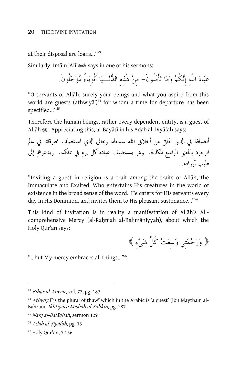at their disposal are loans…"23

Similarly, Im{m ˜Al| says in one of his sermons:

عِباد اللٌّهِ إِنكُم وما تأْملُونَ- مِن هذِهِ الدنـيا أَثْوِياءُ مؤجلُونَ.

"O servants of Allāh, surely your beings and what you aspire from this world are guests (athwiya<sup>'</sup>)<sup>24</sup> for whom a time for departure has been specified…"25

Therefore the human beings, rather every dependent entity, is a guest of Allāh 3. Appreciating this, al-Bayātī in his Adab al-Diyāfah says:

ألضيافة في الدين خُلق من أخلاق الله سبحانه وتعالى الذي استضاف مخلوقاته في عالم الوجود بالمعنى الواسع للكلمة. وهو يسـتضيف عباده كل يوم في مملكته. ويدعوهم إلى طيب أرزاقه...

"Inviting a guest in religion is a trait among the traits of Allah, the Immaculate and Exalted, Who entertains His creatures in the world of existence in the broad sense of the word. He caters for His servants every day in His Dominion, and invites them to His pleasant sustenance..."<sup>26</sup>

This kind of invitation is in reality a manifestation of Allah's Allcomprehensive Mercy (al-Rahmah al-Rahmāniyyah), about which the Holy Qur'ān says:

وَرَحمَتِي وَسِعَت كُلَّ شَيءٍ

"...but My mercy embraces all things..."<sup>27</sup>

 $^{23}$  Bihār al-Anwār, vol. 77, pg. 187

<sup>&</sup>lt;sup>24</sup> Athwiya<sup>"</sup> is the plural of thawī which in the Arabic is 'a guest' (Ibn Maytham al-Bahrānī, Ikhtiyāru Mişbāh al-Sālikīn, pg. 287

<sup>&</sup>lt;sup>25</sup> Nahj al-Balāghah, sermon 129

<sup>&</sup>lt;sup>26</sup> Adab al-Siyāfah, pg. 13

<sup>&</sup>lt;sup>27</sup> Holy Qur'ān, 7:156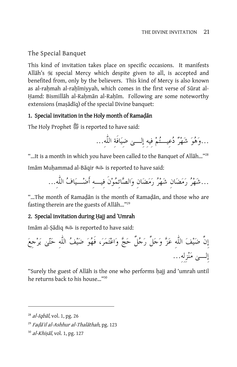# The Special Banquet

This kind of invitation takes place on specific occasions. It manifests Allah's  $\mathcal{F}$  special Mercy which despite given to all, is accepted and benefited from, only by the believers. This kind of Mercy is also known as al-rahmah al-rahīmiyyah, which comes in the first verse of Sūrat al-Hamd: Bismillah al-Rahman al-Rahīm. Following are some noteworthy extensions (masadiq) of the special Divine banquet:

# 1. Special invitation in the Holy month of Ramadan

The Holy Prophet *&* is reported to have said:

...وهو شَهر دعِيـتم فِيهِ إِلـى ضِيافَةِ اللٌّه...ِ

"...It is a month in which you have been called to the Banquet of Allāh..."<sup>28</sup> Imām Muhammad al-Bāqir «السلالة is reported to have said:

...شهر رمضانِ شهر رمضانِ والصائِمونَ فِيـهِ أَضـياف اللٌّه...ِ

"...The month of Ramadān is the month of Ramadān, and those who are fasting therein are the guests of Allāh..."<sup>29</sup>

# 2. Special invitation during Hajj and 'Umrah

Imām al-Ṣādiq <br/>اللغة is reported to have said:



"Surely the guest of Allāh is the one who performs hajj and 'umrah until he returns back to his house…"30

 $^{28}$  al-Iqbal, vol. 1, pg. 26

<sup>&</sup>lt;sup>29</sup> Fadā'il al-Ashhur al-Thalāthah, pg. 123

 $30$  al-Khisāl, vol. 1, pg. 127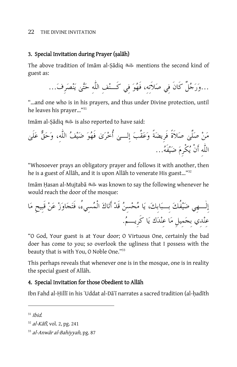## 3. Special Invitation during Prayer (salāh)

The above tradition of Imam al-Şadiq al interventions the second kind of guest as:



"…and one who is in his prayers, and thus under Divine protection, until he leaves his prayer…"31

Imām al-Sādiq <a><a>lig <a>aid: is also reported to have said:

من صلَّى صلاَةً فَرِيضةً وعقَّب إِلـى أُخرى فَهو ضيف اللٌّه،ِ وَحَقٌّ علَى اللٌّهِ أَنْ يكْرِم ضيفَه...

"Whosoever prays an obligatory prayer and follows it with another, then he is a guest of Allāh, and it is upon Allāh to venerate His guest..."<sup>32</sup>

Imām Ḥasan al-Mujtabā حَالِثَة was known to say the following whenever he would reach the door of the mosque:

إِلٌـهِي ضيفُك بِـبابِك، يا محسِن قَد أَتاك الْمسِيء،ُ فَتجاوز عن قَبِيحِ ما عِندِي بِجمِيلِ ما عِندك يا كَرِيـم.

"O God, Your guest is at Your door; O Virtuous One, certainly the bad doer has come to you; so overlook the ugliness that I possess with the beauty that is with You, O Noble One."33

This perhaps reveals that whenever one is in the mosque, one is in reality the special guest of Allāh.

# 4. Special Invitation for those Obedient to Allāh

Ibn Fahd al-Hillī in his ʿUddat al-Dāʿī narrates a sacred tradition (al-hadīth

 $31$  Ihid.

 $32$  al-Kāfī, vol. 2, pg. 241

 $33$  al-Anwār al-Bahiyyah, pg. 87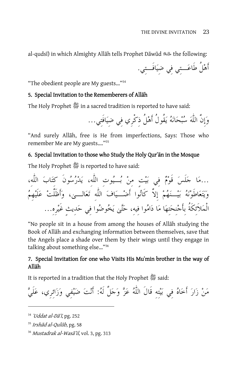al-qudsī) in which Almighty Allāh tells Prophet Dāwūd « بالله the following:

أَهلُ طَاعـتِي فِي ضِيافَـتِي.

"The obedient people are My guests…"34

#### 5. Special Invitation to the Rememberers of Allāh

The Holy Prophet 醬 in a sacred tradition is reported to have said:

وإِنَّ اللٌّه سبحانه يقُولُ أَهلُ ذِكْرِي فِي ضِيافَتِي...

"And surely Allah, free is He from imperfections, Says: Those who remember Me are My guests…."35

#### 6. Special Invitation to those who Study the Holy Qur'an in the Mosque

The Holy Prophet **1** is reported to have said:

…مَا جَلَسَ قَوْمَّ في بَيَّت مِنٌ بُـيُوت اللَّه، يَدْرُسُونَ كَتَابَ اللَّه،  
وَيَّعَاطَوَّنَهُ بَيُـنَهُمٌ إِلاَّ كَانُوًا أَضُـيَافَ الَلَّهِ تَعَالــى، وأَظَلَّتٌ عَلَيِمُ
$$
\frac{1}{2} \text{مَنِحَتِهَا مَا دَامُوا فيِهِ، حَتَّى يَخُوضُوا فيِ حَدِيتِ غَيْرِو…
$$

"No people sit in a house from among the houses of Allah studying the Book of Allah and exchanging information between themselves, save that the Angels place a shade over them by their wings until they engage in talking about something else…"36

# 7. Special Invitation for one who Visits His Mu`min brother in the way of Allāh

It is reported in a tradition that the Holy Prophet  $\frac{45}{365}$  said:

من زار أَخاه فِي بيتِهِ قَالَ اللٌّه عز وجلَّ لَه: أَنت ضيفِي وزائِرِي، علَي

 $34$  'Uddat al-D $\tilde{a}$ ', pg. 252

 $35$  Irshad al-Qulūb, pg. 58

<sup>&</sup>lt;sup>36</sup> Mustadrak al-Wasā'il, vol. 3, pg. 313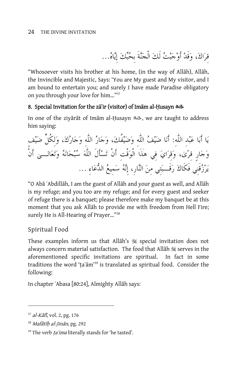قِرَاكَ، وَقَدْ أَوْجَبْتُ لَكَ الْجَنَّةَ بِحُبِّكَ إِيَّاهُ...

"Whosoever visits his brother at his home, (in the way of Allah), Allah, the Invincible and Majestic, Says: 'You are My guest and My visitor, and I am bound to entertain you; and surely I have made Paradise obligatory on you through your love for him…"37

# 8. Special Invitation for the za'ir (visitor) of Imam al-Husayn الشاهدة

In one of the zivarat of Imam al-Husayn , بالله , we are taught to address him saying:

يا أَبا عبدِ اللٌّه:ِ أَنا ضيف اللٌّهِ وضيفُك، وجار اللٌّهِ وجارك، ولِكُلِّ ضيفٍ وجارٍ قِرى، وقِراي فِي هذَا الْوقْتِ أَنْ تسأَلَ اللٌّه سبحانه وتعالـى أَنْ ِ رُزْقَنِي فَكَاكَ رَقَــبَتِي منَ النَّار، إِنَّهُ سَميعُ الدُّعَاءِ …

"O Abā ʿAbdillāh, I am the guest of Allāh and your guest as well, and Allāh is my refuge; and you too are my refuge; and for every guest and seeker of refuge there is a banquet; please therefore make my banquet be at this moment that you ask Allāh to provide me with freedom from Hell Fire; surely He is All-Hearing of Prayer…"38

Spiritual Food

These examples inform us that Allah's  $\frac{1}{2}$  special invitation does not always concern material satisfaction. The food that Allah is serves in the aforementioned specific invitations are spiritual. In fact in some traditions the word 'ta'am'<sup>39</sup> is translated as spiritual food. Consider the following:

In chapter 'Abasa [80:24], Almighty Allāh says:

 $37$  al-Kāfī, vol. 2, pg. 176

 $38$  Mafātīh al-Jinān, pg. 292

<sup>&</sup>lt;sup>39</sup> The verb ta'ima literally stands for 'he tasted'.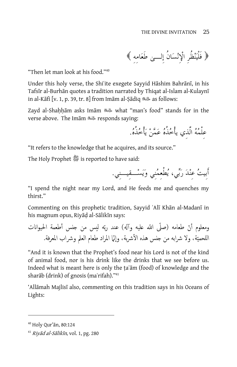فَلْيَنظُرِ الإِنسانُ إِلـى طَعَامِهِ

"Then let man look at his food."40

Under this holy verse, the Shiʿite exegete Sayyid Hāshim Bahrānī, in his Tafsīr al-Burhān quotes a tradition narrated by Thiqat al-Islam al-Kulaynī in al-Kāfi [v. 1, p. 39, tr. 8] from Imām al-Ṣādiq عليّة as follows:

Zayd al-Shaḥḥām asks Imām «الله what "man's food" stands for in the verse above. The Im{m responds saying:

عِلْمه الَّذِي يأْخذُه عمن يأْخذُه.

"It refers to the knowledge that he acquires, and its source."

The Holy Prophet **5** is reported to have said:

أَبِيتُ عِنْدَ رَبِّي، يُطْعِمُني وَيَسْــقِيـــني.

"I spend the night near my Lord, and He feeds me and quenches my thirst."

Commenting on this prophetic tradition, Sayyid `Alī Khān al-Madanī in his magnum opus, Riyād al-Sālikīn says:

) ند ّربه يس من ل جنس أطعمة ع لح ا يواانت ّ ومعلوم ّ أن طعامه (صلى ّ اهلل عليه وآهل للحم إّنما المراد طعام العلم وشراب المعرفة. ّ ا ية، ولا شرابه من جنس هذه الأشربة، و

"And it is known that the Prophet's food near his Lord is not of the kind of animal food, nor is his drink like the drinks that we see before us. Indeed what is meant here is only the ta`am (food) of knowledge and the sharāb (drink) of gnosis (maʿrifah)."<sup>41</sup>

'Allāmah Majlisī also, commenting on this tradition says in his Oceans of Lights:

<sup>&</sup>lt;sup>40</sup> Holy Qur'ān, 80:124

 $41$  Riyad al-Salikin, vol. 1, pg. 280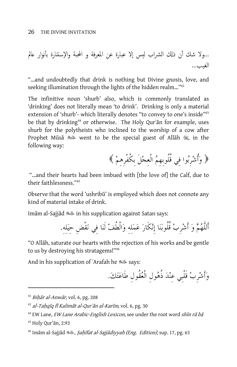...ولا شك أن ذكل لا شراب ليس إلا بارة عن المعرفة و ع لمح ا بة والإستنارة بأنوار عالم لغ ا يب...

"…and undoubtedly that drink is nothing but Divine gnosis, love, and seeking illumination through the lights of the hidden realm..."<sup>42</sup>

The infinitive noun 'shurb' also, which is commonly translated as 'drinking' does not literally mean 'to drink'. Drinking is only a material extension of 'shurb'- which literally denotes "to convey to one's inside"<sup>43</sup> be that by drinking<sup>44</sup> or otherwise. The Holy Qur'an for example, uses shurb for the polytheists who inclined to the worship of a cow after Prophet Mūsā « went to be the special guest of Allāh  $\mathcal{H}$ , in the following way:

وَأُشرِبوا فِي قُلُوبِهِم الْعِجلَ بِكُفْرِهِم

 "…and their hearts had been imbued with [the love of] the Calf, due to their faithlessness."45

Observe that the word 'ushribū' is employed which does not connote any kind of material intake of drink.

Im{m al-Sajj{d in his supplication against Satan says:

أَللٌّهم و أَشرِب قُلُوبنا إِنكَار عملِهِ والْطُف لَنا فِي نقْضِ حِيلِه.ِ

"O Allah, saturate our hearts with the rejection of his works and be gentle to us by destroying his stratagems!"46

And in his supplication of ˜Arafah he says:

وأَشرِب قَلْبِي عِند ذُهولِ الْعقُولِ طَاعتك.

 $42$  Bihār al-Anwār, vol. 6, pg. 208

 $43$  al-Tahqīq fī Kalimāt al-Qur'ān al-Karīm, vol. 6, pg. 30

 $^{44}$  EW Lane, *EW Lane Arabic-English Lexicon*, see under the root word *shin rā bā* 

<sup>&</sup>lt;sup>45</sup> Holy Our'an, 2:93

<sup>&</sup>lt;sup>46</sup> Imām al-Sajjād , *Sahīfat al-Sajjādiyyah (Eng. Edition)*, sup. 17, pg. 63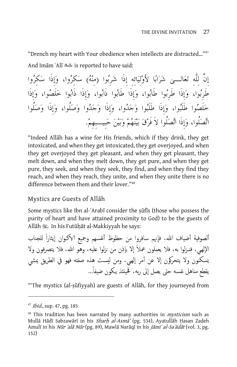"Drench my heart with Your obedience when intellects are distracted…"47 And Im{m ˜Al| is reported to have said:

إِنَّ لِلٌّهِ تعالـى شرابا لأَولِيَائِهِ إِذَا شرِبوا (مِنه (سكِروا، وإِذَا سكِروا طَرِبوا، وإِذَا طَرِبوا طَابوا، وإِذَا طَابوا ذَابوا، وإِذَا ذَابوا خلَصوا، وإِذَا خلَصوا طَلَبوا، وإِذَا طَلَبوا وجدوا، وإِذَا وجدوا وصلُوا، وإِذَا وصلُوا اتصلُوا، وإِذَا اتصلُوا لاَ فَرق بينهم وبين حبِيـبِهِم.

"Indeed Allah has a wine for His friends, which if they drink, they get intoxicated, and when they get intoxicated, they get overjoyed, and when they get overjoyed they get pleasant, and when they get pleasant, they melt down, and when they melt down, they get pure, and when they get pure, they seek, and when they seek, they find, and when they find they reach, and when they reach, they unite, and when they unite there is no difference between them and their lover."48

#### Mystics are Guests of Allah

Some mystics like Ibn al-`Arabī consider the sūfīs (those who possess the purity of heart and have attained proximity to God) to be the guests of Allāh  $\mathcal{H}$ . In his Futūḥāt al-Makkiyyah he says:

ألصوفية أضياف الله، فإنهم سافروا من حظوظ أنفسهم وجميع الاكـوان إيثاراً للجناب الإلهي، فنـزلوا به، فلا يعملون عملاً إلا بإذن من نزلوا عليه، وهو الله، فلا يتصرفون ولا يسكنون ولا يتحركون إلا عن أمر إلهي، ومن ليست هذه صفته فهو في الطريق يمشي يقطع مناهل نفسه حتى يصل إلى ربه، فحينئذ يكون ضيفاً...

"The mystics (al-sūfiyyah) are guests of Allāh, for they journeyed from

-

<sup>&</sup>lt;sup>47</sup> *Ibid.*, sup. 47, pg. 185

 $48$  This tradition has been narrated by many authorities in *mysticism* such as Mullā Hādī Sabzawārī in his Sharh al-Asmā' (pg. 534), Ayatullāh Hasan Zadeh Amulī in his Nūr ʿalā Nūr (pg. 89), Mawlā Narāqī in his Jāmiʿ al-Saʿādāt (vol. 3, pg. 152)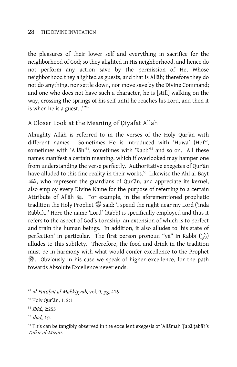the pleasures of their lower self and everything in sacrifice for the neighborhood of God; so they alighted in His neighborhood, and hence do not perform any action save by the permission of He, Whose neighborhood they alighted as guests, and that is Allāh; therefore they do not do anything, nor settle down, nor move save by the Divine Command; and one who does not have such a character, he is [still] walking on the way, crossing the springs of his self until he reaches his Lord, and then it is when he is a guest…'"49

# A Closer Look at the Meaning of Diyafat Allah

Almighty Allah is referred to in the verses of the Holy Qur'an with different names. Sometimes He is introduced with 'Huwa'  $(He)^{50}$ , sometimes with 'Allāh'<sup>51</sup>, sometimes with 'Rabb'<sup>52</sup> and so on. All these names manifest a certain meaning, which if overlooked may hamper one from understanding the verse perfectly. Authoritative exegetes of Qur'an have alluded to this fine reality in their works.<sup>53</sup> Likewise the Ahl al-Bayt , who represent the guardians of Qur`{n, and appreciate its kernel, also employ every Divine Name for the purpose of referring to a certain Attribute of Allah  $\ddot{\textbf{x}}$ . For example, in the aforementioned prophetic tradition the Holy Prophet  $\frac{36}{15}$  said: 'I spend the night near my Lord ('inda Rabbī)...' Here the name 'Lord' (Rabb) is specifically employed and thus it refers to the aspect of God's Lordship, an extension of which is to perfect and train the human beings. In addition, it also alludes to 'his state of perfection' in particular. The first person pronoun "yā" in Rabbī ( $\binom{1}{k}$ ) alludes to this subtlety. Therefore, the food and drink in the tradition must be in harmony with what would confer excellence to the Prophet  $\mathscr{E}.$  Obviously in his case we speak of higher excellence, for the path towards Absolute Excellence never ends.

<sup>&</sup>lt;sup>49</sup> al-Futūhāt al-Makkiyyah, vol. 9, pg. 416

<sup>&</sup>lt;sup>50</sup> Holy Qur'ān, 112:1

<sup>51</sup> Ibid., 2:255

<sup>52</sup> Ibid., 1:2

<sup>53</sup> This can be tangibly observed in the excellent exegesis of 'Allāmah Ţabā'tabā'i's Tafsīr al-Mīzān.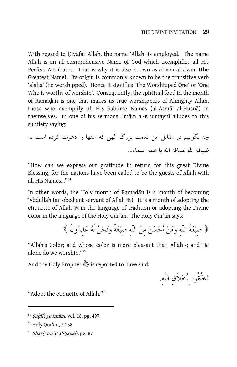With regard to Diyafat Allah, the name 'Allah' is employed. The name Allah is an all-comprehensive Name of God which exemplifies all His Perfect Attributes. That is why it is also known as al-ism al-aʿzam (the Greatest Name). Its origin is commonly known to be the transitive verb 'alaha' (he worshipped). Hence it signifies 'The Worshipped One' or 'One Who is worthy of worship'. Consequently, the spiritual food in the month of Ramadan is one that makes us true worshippers of Almighty Allah, those who exemplify all His Sublime Names (al-Asma' al-Husna) in themselves. In one of his sermons, Imam al-Khumaynī alludes to this subtlety saying:

چه بگوييم در مقابل اين نعمت بزرگ الهي كه ملتها را دعوت كرده است به ضيافه االله ضيافه االله با همه اسماء...

"How can we express our gratitude in return for this great Divine Blessing, for the nations have been called to be the guests of Allāh with all His Names…"54

In other words, the Holy month of Ramadan is a month of becoming ˜Abdull{h (an obedient servant of All{h i). It is a month of adopting the etiquette of Allah  $\frac{1}{2}$  in the language of tradition or adopting the Divine Color in the language of the Holy Qur'an. The Holy Qur'an says:

صِبغَةَ اللٌّهِ وَمَن أَحسَن مِنَ اللٌّهِ صِبغَةً وَنَحن لَه عَابِدونَ

"Allāh's Color; and whose color is more pleasant than Allāh's; and He alone do we worship."55

And the Holy Prophet  $\mathcal{L}$  is reported to have said:

تخلَّقُوا بِأَخلاَقِ اللٌّه.ِ

"Adopt the etiquette of Allah."<sup>56</sup>

<sup>54</sup> Sahīfeye Imām, vol. 18, pg. 497

<sup>&</sup>lt;sup>55</sup> Holy Qur'ān, 2:138

<sup>56</sup> Sharh Du'a' al-*Ṣabāh*, pg. 87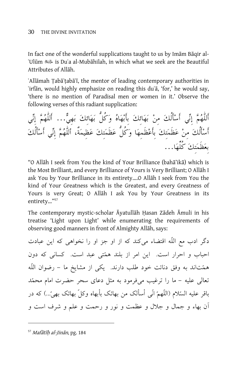In fact one of the wonderful supplications taught to us by Imam Baqir al-˜Ul}m is Du˜a al-Mub{hilah, in which what we seek are the Beautiful Attributes of Allāh.

`Allāmah Țabā'țabā'ī, the mentor of leading contemporary authorities in 'irfan, would highly emphasize on reading this du'a, 'for,' he would say, 'there is no mention of Paradisal men or women in it.' Observe the following verses of this radiant supplication:

أَللٌّهم إِني أَسأَلُك مِن بهائِك بِأَبهاه وكُلُّ بهائِك بَهِيٌّ... أَللٌّهم إِني أَسأَلُك مِن عظَمتِك بِأَعظَمِها وكُلُّ عظَمتِك عَظِيمَةٌ، أللٌّهم إِني أَسأَلُك بِعظَمتِك كُلِّها...

"O Allāh I seek from You the kind of Your Brilliance (bahā'ikā) which is the Most Brilliant, and every Brilliance of Yours is Very Brilliant; O Allah I ask You by Your Brilliance in its entirety....O Allah I seek from You the kind of Your Greatness which is the Greatest, and every Greatness of Yours is very Great; O Allah I ask You by Your Greatness in its entirety…"57

The contemporary mystic-scholar Āyatullāh Ḥasan Zādeh Āmuli in his treatise 'Light upon Light' while enumerating the requirements of observing good manners in front of Almighty Allāh, says:

دگر ادب مع اللّه اقتضاء ميكند كه از او جز او را نخواهي كه اين عبادت احباب و احرار است. اين امر از بلند همتى عبد است. كسانى كه دون همتاند به وفق دنائت خود طلب دارند. يكي از مشايخ ما - رضوان اللّه تعالى عليه – ما را ترغيب مي فرمود به مثل دعاي سحر حضرت امام محمّد باقر عليه السّلام (اللّهمّ انّى أسألك من بهائك بأبهاه وكلّ بهائك بهىّ…) كه در آن بهاء و جمال و جلال و عظمت و نور و رحمت و علم و شرف است و

 $57$  Mafātīh al-Jinān, pg. 184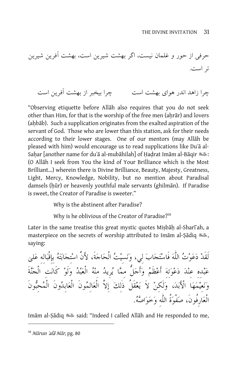حرفى از حور و غلمان نيست، اگر بهشت شيرين است، بهشت آفرين شيرين تر است.

چرا زاهد اندر هواي بهشت است چرا بيخبر از بهشت آفرين است

"Observing etiquette before Allah also requires that you do not seek other than Him, for that is the worship of the free men (ahrar) and lovers (ahbab). Such a supplication originates from the exalted aspiration of the servant of God. Those who are lower than this station, ask for their needs according to their lower stages. One of our mentors (may Allah be pleased with him) would encourage us to read supplications like Du'a al-Sahar [another name for duʿā al-mubāhilah] of Hadrat Imām al-Bāqir : المليسلة (O All{h I seek from You the kind of Your Brilliance which is the Most Brilliant…) wherein there is Divine Brilliance, Beauty, Majesty, Greatness, Light, Mercy, Knowledge, Nobility, but no mention about Paradisal damsels (hūr) or heavenly youthful male servants (ghilmān). If Paradise is sweet, the Creator of Paradise is sweeter."

Why is the abstinent after Paradise?

Why is he oblivious of the Creator of Paradise?<sup>58</sup>

Later in the same treatise this great mystic quotes Misbah al-Shari ah, a masterpiece on the secrets of worship attributed to Imam al-Șadiq , saying:

لَقَدْ دَعَوْتُ اللَّهَ فَاسْتَجَابَ ليي، وَنَسيْتُ الْحَاجَةَ، لأَنَّ اسْتجَابَتَهُ بِإِقْبَالِهِ عَلَىٰ عَبْده عِنْدَ دَعْوَتهَ أَعْظَمُ وَأَجَلُّ ممَّا يُرِيدُ مِنْهُ الْعَبْدُ وَلَوْ كَانَت الْجَنَّةَ ونعِيمها الأَبد، ولٌكِن لاَ يعقَلُ ذٌلِك إِلاَّ الْعالِمونَ الْعابِدونَ الْمحِبونَ الْعارِفُونَ، صفْوةُ اللٌّهِ وخواصه.

Imām al-Sādiq «الله said: "Indeed I called Allāh and He responded to me,

<sup>&</sup>lt;sup>58</sup> Nūrun ʿalā Nūr, pg. 80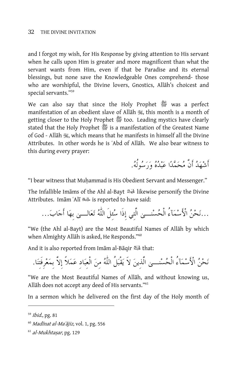and I forgot my wish, for His Response by giving attention to His servant when he calls upon Him is greater and more magnificent than what the servant wants from Him, even if that be Paradise and its eternal blessings, but none save the Knowledgeable Ones comprehend- those who are worshipful, the Divine lovers, Gnostics, Allah's choicest and special servants."59

We can also say that since the Holy Prophet 醬 was a perfect manifestation of an obedient slave of Allah , this month is a month of getting closer to the Holy Prophet *1* too. Leading mystics have clearly stated that the Holy Prophet 醬 is a manifestation of the Greatest Name of God - Allāh , which means that he manifests in himself all the Divine Attributes. In other words he is `Abd of Allah. We also bear witness to this during every prayer:

أَشْهَدُ أَنَّ مُحَمَّدًا عَبْدُهُ وَرَسُولُهُ.

"I bear witness that Muhammad is His Obedient Servant and Messenger."

The Infallible Im{ms of the Ahl al-Bayt likewise personify the Divine Attributes. Im{m ˜Al| is reported to have said:

...نحن الأَسمآءُ الْحسنـى الَّتِي إِذَا سئِلَ اللٌّه تعالـى بِها أَجاب...

"We (the Ahl al-Bayt) are the Most Beautiful Names of Allah by which when Almighty Allāh is asked, He Responds."<sup>60</sup>

And it is also reported from Im{m al-B{qir that:

نحن الأَسمآءُ الْحسنـى الَّذِين لاََ يقْبلُ اللٌّه مِن الْعِبادِ عملاً إِلاَّ بِمعرِفَتِنا.

"We are the Most Beautiful Names of Allāh, and without knowing us, Allāh does not accept any deed of His servants."<sup>61</sup>

In a sermon which he delivered on the first day of the Holy month of

<sup>59</sup> Ibid., pg. 81

 $60$  Madinat al-Ma $^{5}$ jiz, vol. 1, pg. 556

 $61$  al-Mukhtasar, pg. 129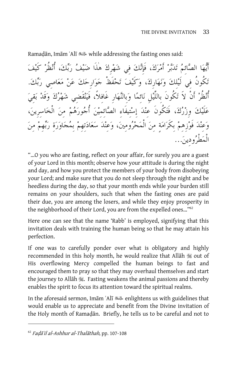Ramadān, Imām ʿAlī <while addressing the fasting ones said:

أَيها الصائِم تدبر أَمرك، فَإِنك فِي شهرِك هذَا ضيف ربك، أُنظُر كَيف تكُونُ فِي لَيلِك ونهارِك، وكَيف تحفَظْ جوارِحك عن معاصِي ربك. أُنْظُرْ أَنْ لاَ تَكُونَ بِاللَّيْلِ نَائمًا وَبِالنَّهَارِ غَافِلاً، فَيَنْقَضِي شَهْرُكَ وَقَدْ بَقِيَ علَيك وِزرك، فَتكُونَ عِند إِستِيفَاءِ الصائِمِين أُجورهم مِن الْخاسِرِين، وعِند فَوزِهِم بِكَرامةٍ مِن الْمحرومِين، وعِند سعادتِهِم بِمجاورةِ ربهِم مِن الْمطْرودِين...

"…O you who are fasting, reflect on your affair, for surely you are a guest of your Lord in this month; observe how your attitude is during the night and day, and how you protect the members of your body from disobeying your Lord; and make sure that you do not sleep through the night and be heedless during the day, so that your month ends while your burden still remains on your shoulders, such that when the fasting ones are paid their due, you are among the losers, and while they enjoy prosperity in the neighborhood of their Lord, you are from the expelled ones…"62

Here one can see that the name 'Rabb' is employed, signifying that this invitation deals with training the human being so that he may attain his perfection.

If one was to carefully ponder over what is obligatory and highly recommended in this holy month, he would realize that Allah  $\mathcal{H}$  out of His overflowing Mercy compelled the human beings to fast and encouraged them to pray so that they may overhaul themselves and start the journey to Allah  $\mathcal{H}$ . Fasting weakens the animal passions and thereby enables the spirit to focus its attention toward the spiritual realms.

In the aforesaid sermon, Im{m ˜Al| enlightens us with guidelines that would enable us to appreciate and benefit from the Divine invitation of the Holy month of Ramadan. Briefly, he tells us to be careful and not to

 $62$  Fada'il al-Ashhur al-Thalathah, pp. 107-108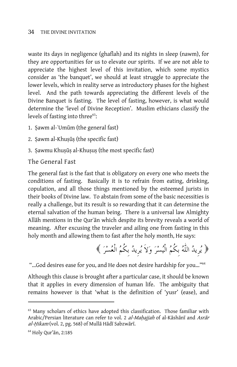waste its days in negligence (ghaflah) and its nights in sleep (nawm), for they are opportunities for us to elevate our spirits. If we are not able to appreciate the highest level of this invitation, which some mystics consider as 'the banquet', we should at least struggle to appreciate the lower levels, which in reality serve as introductory phases for the highest level. And the path towards appreciating the different levels of the Divine Banquet is fasting. The level of fasting, however, is what would determine the 'level of Divine Reception'. Muslim ethicians classify the levels of fasting into three<sup>63</sup>:

- 1. Sawm al-ʿUmūm (the general fast)
- 2. Sawm al-Khuṣūṣ (the specific fast)
- 3. Sawmu Khusūs al-Khusus (the most specific fast)

The General Fast

The general fast is the fast that is obligatory on every one who meets the conditions of fasting. Basically it is to refrain from eating, drinking, copulation, and all those things mentioned by the esteemed jurists in their books of Divine law. To abstain from some of the basic necessities is really a challenge, but its result is so rewarding that it can determine the eternal salvation of the human being. There is a universal law Almighty Allah mentions in the Qur'an which despite its brevity reveals a world of meaning. After excusing the traveler and ailing one from fasting in this holy month and allowing them to fast after the holy month, He says:

يرِيد اللٌّه بِكُم الْيسرَ وَلاَ يرِيد بِكُم الْعسرَ

"...God desires ease for you, and He does not desire hardship for you..."<sup>64</sup>

Although this clause is brought after a particular case, it should be known that it applies in every dimension of human life. The ambiguity that remains however is that 'what is the definition of 'yusr' (ease), and

-

<sup>&</sup>lt;sup>63</sup> Many scholars of ethics have adopted this classification. Those familiar with Arabic/Persian literature can refer to vol. 2 al-Mahajjah of al-Kāshānī and Asrār  $al-Hikam$  (vol. 2, pg. 568) of Mulla Hadī Sabzwārī.

 $64$  Holy Qur'ān, 2:185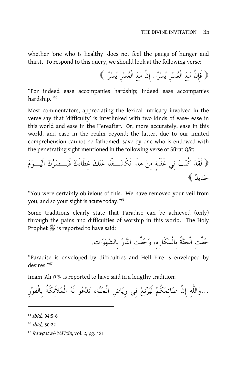whether 'one who is healthy' does not feel the pangs of hunger and thirst. To respond to this query, we should look at the following verse:

فَإِنَّ مَعَ الْعسرِ يسرا. إِنَّ مَعَ الْعسرِ يسرا

"For indeed ease accompanies hardship; Indeed ease accompanies hardship."65

Most commentators, appreciating the lexical intricacy involved in the verse say that 'difficulty' is interlinked with two kinds of ease- ease in this world and ease in the Hereafter. Or, more accurately, ease in this world, and ease in the realm beyond; the latter, due to our limited comprehension cannot be fathomed, save by one who is endowed with the penetrating sight mentioned in the following verse of Sūrat Qaf:

 لَقَد كُنتَ فِي غَفْلَةٍ مِن هذَا فَكَشَـفْنَا عَنكَ غِطَاءَكَ فَبَـصَركَ الْيَـومَ حَدِيد

"You were certainly oblivious of this. We have removed your veil from you, and so your sight is acute today."66

Some traditions clearly state that Paradise can be achieved (only) through the pains and difficulties of worship in this world. The Holy Prophet *S*is reported to have said:

حُفَّتِ الْجَنَّةُ بِالْمَكَارِه، وَحُفَّتِ النَّارُ بِالشَّهَوَاتِ.

"Paradise is enveloped by difficulties and Hell Fire is enveloped by desires."67

Im{m ˜Al| is reported to have said in a lengthy tradition:

...واللٌّهِ إِنَّ صائِمكُم لَيرتع فِي رِياضِ الْجنة،ِ تدعو لَه الْملاَئِكَةُ بِالْفَوزِ

<sup>65</sup> Ibid., 94:5-6

<u>.</u>

<sup>66</sup> Ibid., 50:22

 $67$  Rawdat al-Wā'izīn, vol. 2, pg. 421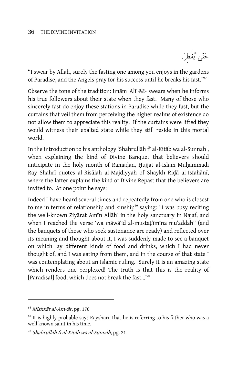حَتّىٰ يُفْطِرَ.

"I swear by Allah, surely the fasting one among you enjoys in the gardens of Paradise, and the Angels pray for his success until he breaks his fast."68

Observe the tone of the tradition: Imam Ali صلاحة swears when he informs his true followers about their state when they fast. Many of those who sincerely fast do enjoy these stations in Paradise while they fast, but the curtains that veil them from perceiving the higher realms of existence do not allow them to appreciate this reality. If the curtains were lifted they would witness their exalted state while they still reside in this mortal world.

In the introduction to his anthology 'Shahrullah fi al-Kitab wa al-Sunnah', when explaining the kind of Divine Banquet that believers should anticipate in the holy month of Ramadan, Hujjat al-Islam Muhammad $\bar{a}$ Ray Shahrī quotes al-Risālah al-Majdiyyah of Shaykh Riḍā al-Isfahānī, where the latter explains the kind of Divine Repast that the believers are invited to. At one point he says:

Indeed I have heard several times and repeatedly from one who is closest to me in terms of relationship and kinship<sup>69</sup> saying: 'I was busy reciting the well-known Ziyārat Amīn Allāh' in the holy sanctuary in Najaf, and when I reached the verse 'wa māwā`id al-mustat imina mu`addah" (and the banquets of those who seek sustenance are ready) and reflected over its meaning and thought about it, I was suddenly made to see a banquet on which lay different kinds of food and drinks, which I had never thought of, and I was eating from them, and in the course of that state I was contemplating about an Islamic ruling. Surely it is an amazing state which renders one perplexed! The truth is that this is the reality of [Paradisal] food, which does not break the fast…'70

 $68$  Mishkāt al-Anwār, pg. 170

 $69$  It is highly probable says Rayshari, that he is referring to his father who was a well known saint in his time.

 $70$  Shahrullāh fī al-Kitāb wa al-Sunnah, pg. 21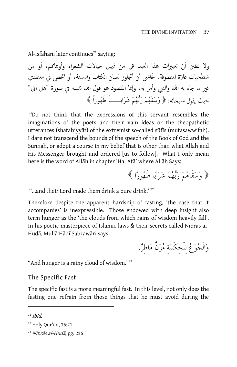Al-Isfahāni later continues<sup>71</sup> saying:

ولا تظنن أنّ تعبيرات هذا العبد هي من قبيل خيالات الشعراء وأوهاممه، أو من شطحيات غلاة المتصوفة، فحاشى أن أتجاوز لسان الكتاب والسنة، أو اتخطى في معتقدي غير ما جاء به الله والنبي وأمر به، وإنما المقصود هو قول الله نفسه في سورة "هل أتى" حيث يقول سـبحانه: وسقٌهم ربهم شرابــاً طَهوراً

 "Do not think that the expressions of this servant resembles the imaginations of the poets and their vain ideas or the theopathetic utterances (shatahiyyāt) of the extremist so-called sūfīs (muta sawwifah). I dare not transcend the bounds of the speech of the Book of God and the Sunnah, or adopt a course in my belief that is other than what Allah and His Messenger brought and ordered [us to follow]. What I only mean here is the word of Allāh in chapter 'Hal Atā' where Allāh Says:

﴿ وَسَقَاهُمْ رَبُّهُمْ شَرَابًا طَهُورًا ﴾

"...and their Lord made them drink a pure drink."<sup>72</sup>

Therefore despite the apparent hardship of fasting, 'the ease that it accompanies' is inexpressible. Those endowed with deep insight also term hunger as the 'the clouds from which rains of wisdom heavily fall'. In his poetic masterpiece of Islamic laws & their secrets called Nibrās al-Hudā, Mullā Hādī Sabzawāri says:

وَالْجُوْعُ لِلْحِكْمَةِ مُزْنٌ مَاطِرٌ.

"And hunger is a rainy cloud of wisdom."73

The Specific Fast

The specific fast is a more meaningful fast. In this level, not only does the fasting one refrain from those things that he must avoid during the

 $71$  Ihid.

<sup>72</sup> Holy Qur'ān, 76:21

 $73$  Nibrās al-Hudā, pg. 236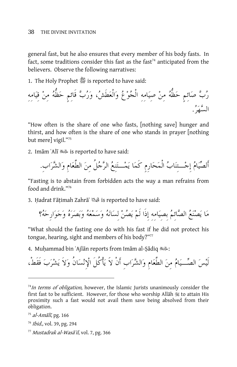general fast, but he also ensures that every member of his body fasts. In fact, some traditions consider this fast as the fast<sup>74</sup> anticipated from the believers. Observe the following narratives:

1. The Holy Prophet *獎* is reported to have said:

رب صَائِمٍ حَظُّه مِن صِيَامِهِ الْجوع وَالْعَطَش، وَرب قَائِمٍ حَظُّه مِن قِيَامِهِ السهَر.

"How often is the share of one who fasts, [nothing save] hunger and thirst, and how often is the share of one who stands in prayer [nothing but mere] vigil."75

2. Im{m ˜Al| is reported to have said:

أَلصيام إِجـتِناب الْمحارِمِ كَما يمـتنِع الرجلُ مِن الطَّعامِ والشراب.ِ

"Fasting is to abstain from forbidden acts the way a man refrains from food and drink<sup>"76</sup>

3. Hadrat Fāṭimah Zahrā' لِمَيْكَ is reported to have said:

مَا يَصْنَعُ الصَّائمُ بِصِيَامِهِ إِذَا لَمْ يَصُنْ لِسَانَهُ وَسَمْعَهُ وَبَصَرَهُ وَجَوَارِحَهُ؟

"What should the fasting one do with his fast if he did not protect his tongue, hearing, sight and members of his body?"<sup>77</sup>

4. Muhammad bin ʿAjlān reports from Imām al-Sādiq :

لَيس الصـيام مِن الطَّعامِ والشرابِ أَنْ لاََ يأْكُلَ الإِنسانُ ولاَ يشرب فَقَطْ،

- <sup>76</sup> Ibid., vol. 39, pg. 294
- $77$  Mustadrak al-Wasa'il, vol. 7, pg. 366

 $74$ In terms of obligation, however, the Islamic Jurists unanimously consider the first fast to be sufficient. However, for those who worship Allah  $\frac{m}{n}$  to attain His proximity such a fast would not avail them save being absolved from their obligation.

 $75$  al-Amālī, pg. 166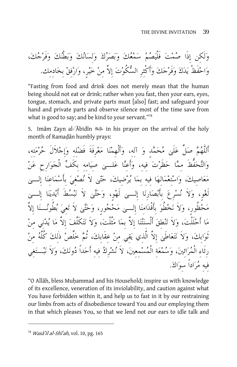ولٌكِن إِذَا صمت فَلْيصم سمعك وبصرك ولِسانك وبطْنك وفَرجك، واحفَظْ يدك وفَرجك وأَكْثِرِ السكُوت إِلاَّ مِن خير،ٍ وارفِق بِخادِمِك.

"Fasting from food and drink does not merely mean that the human being should not eat or drink; rather when you fast, then your ears, eyes, tongue, stomach, and private parts must [also] fast; and safeguard your hand and private parts and observe silence most of the time save from what is good to say; and be kind to your servant."78

5. Imām Zayn al-ʿĀbidīn هليسة in his prayer on the arrival of the holy month of Ramadan humbly prays:

أَللٌّهم صلِّ علَى محمدٍ و آلِه،ِ وأَلْهِمنا معرِفَةَ فَضلِهِ وإِجلاَلَ حرمتِه،ِ والتحفُّظَ مِما حظَرت فِيه،ِ وأَعِنا علـى صِيامِهِ بِكَف الْجوارِحِ عن مَعَاصِيكَ، وَاسْتِعْمَالِهَا فِيهِ بِمَا يُرْضِيكَ، حَتَّىٰ لاَ نُصْغِيَ بِأَسْمَاعِنَا لَغْو، وَلاَ نُسْرِعَ بِأَبْصَارِنَا إِلـــىٰ لَهْو، وَحَتَّىٰ لاَ نَبْسُطَ أَيْدِيَنَا إِلـ مَحْظُور، وَلاَ نَخْطُوَ بِأَقْدَامِنَا إِلـــى مَحْجُور، وَحَتَّىٰ لاَ تَعِيَ بُطُونُــنَا ما أَحلَلْت، ولاَ تنطِق أَلْسِنتنا إِلاَّ بِما مثَّلْت، ولاَ نتكَلَّف إِلاَّ ما يدنِي مِن ثَوابِك، ولاَ نتعاطَى إِلاَّ الَّذِي يقِي مِن عِقَابِك، ثُم خلِّص ذٌلِك كُلَّه مِن رِئَاءِ الْمُرَائينَ، وَسُمْعَةِ الْمُسْمعِينَ، لاَ نُشْرِكُ فِيهِ أَحَداً دُونَكَ، وَلاَ نَبْ فِيهِ مراداً سِواك.

"O Allāh, bless Muhammad and his Household; inspire us with knowledge of its excellence, veneration of its inviolability, and caution against what You have forbidden within it, and help us to fast in it by our restraining our limbs from acts of disobedience toward You and our employing them in that which pleases You, so that we lend not our ears to idle talk and

<sup>&</sup>lt;sup>78</sup> Wasā'il al-Shī'ah, vol. 10, pg. 165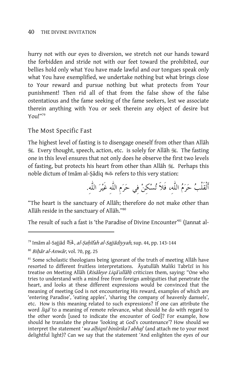hurry not with our eyes to diversion, we stretch not our hands toward the forbidden and stride not with our feet toward the prohibited, our bellies hold only what You have made lawful and our tongues speak only what You have exemplified, we undertake nothing but what brings close to Your reward and pursue nothing but what protects from Your punishment! Then rid all of that from the false show of the false ostentatious and the fame seeking of the fame seekers, lest we associate therein anything with You or seek therein any object of desire but You!"79

#### The Most Specific Fast

The highest level of fasting is to disengage oneself from other than Allah 3. Every thought, speech, action, etc. is solely for Allāh 3. The fasting one in this level ensures that not only does he observe the first two levels of fasting, but protects his heart from other than Allāh  $\mathbb{R}$ . Perhaps this noble dictum of Imām al-Ṣādiq ملك refers to this very station:

أَلْقَلْب حرم اللٌّه،ِ فَلاََ تسكِن فِي حرمِ اللٌّهِ غَير اللٌّه.ِ

"The heart is the sanctuary of Allāh; therefore do not make other than Allāh reside in the sanctuary of Allāh."80

The result of such a fast is 'the Paradise of Divine Encounter'<sup>81</sup> (Jannat al-

-

<sup>&</sup>lt;sup>79</sup> Imām al-Sajjād يَلْيَكْ , al-*Ṣaḥīfah al-Sajjādiyyah*, sup. 44, pp. 143-144

 $80$  Bihār al-Anwār, vol. 70, pg. 25

 $81$  Some scholastic theologians being ignorant of the truth of meeting Allah have resorted to different fruitless interpretations. Ayatullah Maliki Tabrīzī in his treatise on Meeting Allāh (Risāleye Liqā'ullāh) criticizes them, saying: "One who tries to understand with a mind free from foreign ambiguities that penetrate the heart, and looks at these different expressions would be convinced that the meaning of meeting God is not encountering His reward, examples of which are 'entering Paradise', 'eating apples', 'sharing the company of heavenly damsels', etc. How is this meaning related to such expressions? If one can attribute the word *liqa* to a meaning of remote relevance, what should he do with regard to the other words [used to indicate the encounter of God]? For example, how should he translate the phrase 'looking at God's countenance'? How should we interpret the statement '*wa alḥiqnī binūrika'l abhaj*' (and attach me to your most delightful light)? Can we say that the statement 'And enlighten the eyes of our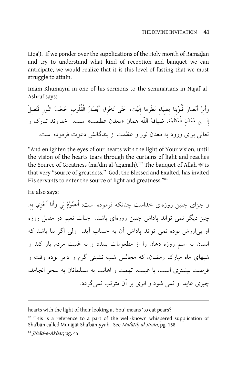Liqa<sup>\*</sup>). If we ponder over the supplications of the Holy month of Ramadan and try to understand what kind of reception and banquet we can anticipate, we would realize that it is this level of fasting that we must struggle to attain.

Imam Khumayni in one of his sermons to the seminarians in Najaf al-Ashraf says:

وأَنِر أَبصَارَ قُلُوبِنَا بِضِيَاءِ نَظَرِهَا إِلَيك،َ حتى تَخرِقَ أَبصَار الْقُلُوبِ حجبَ النورِ فَتَصِلَ إِلـى مَعدَنِ الْعَظَمَة. ضيافة اللّه همان «معدن عظمت» است. خداوند تبارك و تعالى براي ورود به معدن نور و عظمت از بندگانش دعوت فرموده است .

"And enlighten the eyes of our hearts with the light of Your vision, until the vision of the hearts tears through the curtains of light and reaches the Source of Greatness (maʿdin al-ʿazamah).'82 The banquet of Allāh i is that very "source of greatness." God, the Blessed and Exalted, has invited His servants to enter the source of light and greatness."<sup>83</sup>

He also says:

و جزاي چنين روزهاي خداست چنانكه فرموده است: أَلصوم لِي وأَنَا أَجزِي بِه.ِ چيز ديگر نمي تواند پاداش چنين روزهاي باشد. جنات نعيم در مقابل روزه او بىارزش بوده نمي تواند پاداش آن به حساب آيد. ولى اگر بنا باشد كه انسان به اسم روزه دهان را از مطعومات ببندد و به غيبت مردم باز كند و شبهاي ماه مبارك رمضان، كه مجالس شب نشينى گرم و داير بوده وقت و فرصت بيشتري است، با غيبت، تهمت و اهانت به مسلمانان به سحر انجامد، چيزي عايد او نمي شود و اثري بر آن مترتب نميگردد.

hearts with the light of their looking at You' means 'to eat pears?'

 $\overline{a}$ 

 $82$  This is a reference to a part of the well-known whispered supplication of Shaʿbān called Munājāt Shaʿbāniyyah. See Mafātīh al-Jinān, pg. 158

<sup>83</sup> Jihād-e-Akbar, pg. 45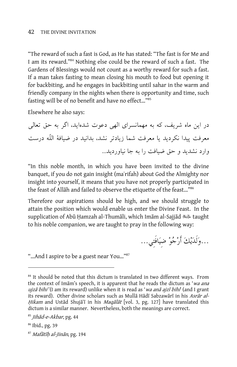"The reward of such a fast is God, as He has stated: "The fast is for Me and I am its reward."84 Nothing else could be the reward of such a fast. The Gardens of Blessings would not count as a worthy reward for such a fast. If a man takes fasting to mean closing his mouth to food but opening it for backbiting, and he engages in backbiting until sahar in the warm and friendly company in the nights when there is opportunity and time, such fasting will be of no benefit and have no effect…"85

Elsewhere he also says:

در اين ماه شريف، كه به مهمانسراي الهي دعوت شدهايد، اگر به حق تعالى معرفت پيدا نكرديد يا معرفت شما زيادتر نشد، بدانيد در ضيافة اللّه درست وارد نشديد و حق ضيافت را به جا نياورديد...

"In this noble month, in which you have been invited to the divine banquet, if you do not gain insight (ma˜rifah) about God the Almighty nor insight into yourself, it means that you have not properly participated in the feast of Allah and failed to observe the etiquette of the feast..."<sup>86</sup>

Therefore our aspirations should be high, and we should struggle to attain the position which would enable us enter the Divine Feast. In the supplication of Abū Hamzah al-Thumāli, which Imām al-Sajjād سلاية taught to his noble companion, we are taught to pray in the following way:

...ولَديك أَرجو ضِيافَتِي...

"…And I aspire to be a guest near You…"87

<sup>&</sup>lt;sup>84</sup> It should be noted that this dictum is translated in two different ways. From the context of Imam's speech, it is apparent that he reads the dictum as 'wa ana ujzā bihi' (I am its reward) unlike when it is read as 'wa anā ajzī bihi' (and I grant its reward). Other divine scholars such as Mullā Hādī Sabzawārī in his Asrār al-*Hikam* and Ustād Shujā'i in his *Maqālāt* [vol. 3, pg. 127] have translated this dictum is a similar manner. Nevertheless, both the meanings are correct.

<sup>&</sup>lt;sup>85</sup> Jihād-e-Akbar, pg. 44

<sup>86</sup> Ibid., pg. 39

 $87$  Mafātīh al-Jinān, pg. 194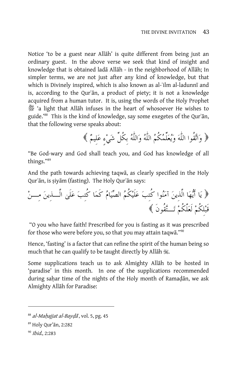Notice 'to be a guest near Allāh' is quite different from being just an ordinary guest. In the above verse we seek that kind of insight and knowledge that is obtained ladā Allāh - in the neighborhood of Allāh; In simpler terms, we are not just after any kind of knowledge, but that which is Divinely inspired, which is also known as al-`ilm al-ladunnī and is, according to the Qur'an, a product of piety; it is not a knowledge acquired from a human tutor. It is, using the words of the Holy Prophet  $\mathcal{L}$  'a light that Allāh infuses in the heart of whosoever He wishes to guide."88 This is the kind of knowledge, say some exegetes of the Qur'an, that the following verse speaks about:

واتقُوا اللٌّه ويعلِّمكُم اللٌّه واللٌّه بِكُلِّ شيءٍ عَلِيم

"Be God-wary and God shall teach you, and God has knowledge of all things."89

And the path towards achieving taqwa, as clearly specified in the Holy Qur'ān, is siyām (fasting). The Holy Qur'ān says:

 يا أَيها الَّذِين آمنوا كُتِب علَيكُم الصيام كَما كُتِب علَى الَّـذِين مِـن قَبلِكُم لَعلَّكُم تـتقُونَ

 "O you who have faith! Prescribed for you is fasting as it was prescribed for those who were before you, so that you may attain taqwa." $90$ 

Hence, 'fasting' is a factor that can refine the spirit of the human being so much that he can qualify to be taught directly by Allah  $\mathcal{E}.$ 

Some supplications teach us to ask Almighty Allah to be hosted in 'paradise' in this month. In one of the supplications recommended during saḥar time of the nights of the Holy month of Ramaḍān, we ask Almighty Allah for Paradise:

 $88$  al-Mahajjat al-Bayda<sup>3</sup>, vol. 5, pg. 45

<sup>&</sup>lt;sup>89</sup> Holy Qur'ān, 2:282

<sup>90</sup> Ibid., 2:283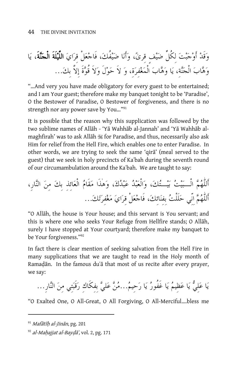وقَد أَوجبت لِكُلِّ ضيفٍ قِرى، وأَنا ضيفُك، فَاجعلْ قِراي اللَّيلَةَ الْجنةَ، يا وهاب الْجنة،ِ يا وهاب الْمغفِرة،ِ و لاَ حولَ ولاَ قُوةَ إِلاَّ بِك...

"…And very you have made obligatory for every guest to be entertained; and I am Your guest; therefore make my banquet tonight to be 'Paradise', O the Bestower of Paradise, O Bestower of forgiveness, and there is no strength nor any power save by You..."<sup>91</sup>

It is possible that the reason why this supplication was followed by the two sublime names of Allāh - 'Yā Wahhāb al-Jannah' and 'Yā Wahhāb almaghfirah' was to ask Allāh  $\frac{1}{100}$  for Paradise, and thus, necessarily also ask Him for relief from the Hell Fire, which enables one to enter Paradise. In other words, we are trying to seek the same 'qira' (meal served to the guest) that we seek in holy precincts of Ka˜bah during the seventh round of our circumambulation around the Ka˜bah. We are taught to say:

أَللٌّهم الْـبيت بيـتك، والْعبد عبدك، وهذَا مقَام الْعائِذِ بِك مِن النار،ِ أَللٌّهم اِنِّي حلَلْت بِفِنائِك، فَاجعلْ قِراي مغفِرتك...

"O Allah, the house is Your house; and this servant is You servant; and this is where one who seeks Your Refuge from Hellfire stands; O Allah, surely I have stopped at Your courtyard; therefore make my banquet to be Your forgiveness."92

In fact there is clear mention of seeking salvation from the Hell Fire in many supplications that we are taught to read in the Holy month of Ramadān. In the famous du'ā that most of us recite after every prayer, we say:

يا علِي يا عظِيم يا غَفُور يا رحِيم...من علي بِفِكَاكِ رقَبتِي مِن النار...ِ

"O Exalted One, O All-Great, O All Forgiving, O All-Merciful….bless me

 $91$  Mafātīh al-Jinān, pg. 201

 $92$  al-Mahajjat al-Bayda<sup>2</sup>, vol. 2, pg. 171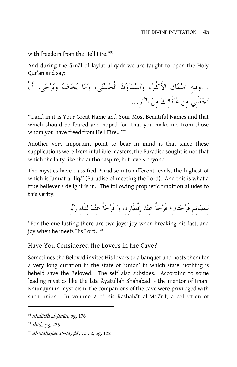with freedom from the Hell Fire."93

And during the  $\vec{a}$ 'mal of laylat al-qadr we are taught to open the Holy Qur'an and say:

...وَفِيهِ اسْمُكَ الْأَكْبَرُ، وَأَسْمَآؤُكَ الْحُسْنَىٰ، وَمَا يُخَافُ وَيُرْجَىٰ، أَنْ تجعلَنِي مِن عتقَائِك مِن النار...ِ

"…and in it is Your Great Name and Your Most Beautiful Names and that which should be feared and hoped for, that you make me from those whom you have freed from Hell Fire…"94

Another very important point to bear in mind is that since these supplications were from infallible masters, the Paradise sought is not that which the laity like the author aspire, but levels beyond.

The mystics have classified Paradise into different levels, the highest of which is Jannat al-liqa<sup>'</sup> (Paradise of meeting the Lord). And this is what a true believer's delight is in. The following prophetic tradition alludes to this verity:

لِلصائِمِ فَرحَتَانِ؛ فَرحَةٌ عِندَ إِفْطَارِه،ِ وَ فَرحَةٌ عِندَ لِقَاءِ رَبه.ِ

"For the one fasting there are two joys: joy when breaking his fast, and joy when he meets His Lord."95

Have You Considered the Lovers in the Cave?

Sometimes the Beloved invites His lovers to a banquet and hosts them for a very long duration in the state of 'union' in which state, nothing is beheld save the Beloved. The self also subsides. According to some leading mystics like the late Āyatullāh Shāhābādī - the mentor of Imām Khumayni in mysticism, the companions of the cave were privileged with such union. In volume 2 of his Rashahat al-Maʿārif, a collection of

 $93$  Mafātīh al-Jinān, pg. 176

<sup>94</sup> Ibid., pg. 225

<sup>95</sup> al-Mahajjat al-Baydā, vol. 2, pg. 122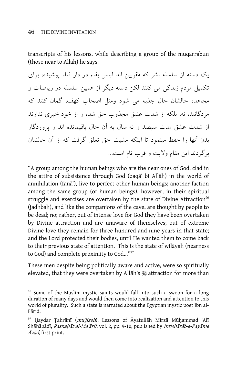-

transcripts of his lessons, while describing a group of the mugarrabun (those near to Allāh) he says:

يك دسته از سلسله بشر كه مقربين اند لباس بقاء در دار فناء پوشيده، براي تكميل مردم زندگي مي كنند لكن دسته ديگر از همين سلسله در رياضات و مجاهده حالشان حال جذبه مي شود ومثل اصحاب كهف، گمان كنند كه مردگانند، نه، بلكه از شدت عشق مجذوب حق شده و از خود خبري ندارند از شدت عشق مدت سيصد و نه سال به آن حال باقيمانده اند و پروردگار بدن آنها را حفظ مينمود تا اينكه مشيت حق تعلق گرفت كه از آن حالشان برگردند اين مقام ولايت و قرب تام است...

"A group among the human beings who are the near ones of God, clad in the attire of subsistence through God (baqa bi Allah) in the world of annihilation (fana<sup>c</sup>), live to perfect other human beings; another faction among the same group (of human beings), however, in their spiritual struggle and exercises are overtaken by the state of Divine Attraction<sup>96</sup> (jadhbah), and like the companions of the cave, are thought by people to be dead; no; rather, out of intense love for God they have been overtaken by Divine attraction and are unaware of themselves; out of extreme Divine love they remain for three hundred and nine years in that state; and the Lord protected their bodies, until He wanted them to come back to their previous state of attention. This is the state of wilayah (nearness to God) and complete proximity to God..."<sup>97</sup>

These men despite being politically aware and active, were so spiritually elevated, that they were overtaken by Allāh's is attraction for more than

<sup>&</sup>lt;sup>96</sup> Some of the Muslim mystic saints would fall into such a swoon for a long duration of many days and would then come into realization and attention to this world of plurality. Such a state is narrated about the Egyptian mystic poet Ibn al-Fārid.

<sup>&</sup>lt;sup>97</sup> Haydar Țahrānī (mu'jizeh), Lessons of Āyatullāh Mīrzā Mūḥammad ʿAlī Shāhābādī, Rashahāt al-Maʿārif, vol. 2, pp. 9-10, published by Intishārāt-e-Payāme  $\bar{A}z\bar{a}d$ , first print.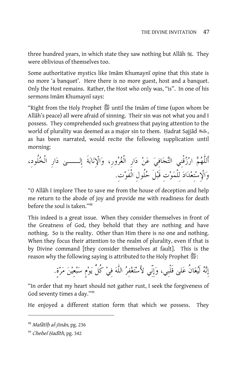three hundred years, in which state they saw nothing but Allah  $\ddot{\mathcal{E}}$ . They were oblivious of themselves too.

Some authoritative mystics like Imām Khumaynī opine that this state is no more 'a banquet'. Here there is no more guest, host and a banquet. Only the Host remains. Rather, the Host who only was, "is". In one of his sermons Imām Khumaynī says:

"Right from the Holy Prophet \$until the Imam of time (upon whom be Allah's peace) all were afraid of sinning. Their sin was not what you and I possess. They comprehended such greatness that paying attention to the world of plurality was deemed as a major sin to them. Hadrat Sajjād , as has been narrated, would recite the following supplication until morning:

أَللٌّهم ارزقْنِي التجافِي عن دارِ الْغرور،ِ والإِنابةَ إِلــى دارِ الْخلُود،ِ والإِستِعداد لِلْموتِ قَبلَ حلُولِ الْفَوت.ِ

"O Allah I implore Thee to save me from the house of deception and help me return to the abode of joy and provide me with readiness for death before the soul is taken."98

This indeed is a great issue. When they consider themselves in front of the Greatness of God, they behold that they are nothing and have nothing. So is the reality. Other than Him there is no one and nothing. When they focus their attention to the realm of plurality, even if that is by Divine command [they consider themselves at fault]. This is the reason why the following saying is attributed to the Holy Prophet  $\mathfrak{F}:$ 

إِنه لَيغانُ على قَلْبِي، وإِنِّي لأَستَغفِر اللٌّه فِي كُلِّ يومٍ سبعِين مرة.ٍ

"In order that my heart should not gather rust, I seek the forgiveness of God seventy times a day."99

He enjoyed a different station form that which we possess. They

<sup>&</sup>lt;sup>98</sup> Mafātīh al-Jinān, pg. 236

<sup>99</sup> Chehel Hadīth, pg. 342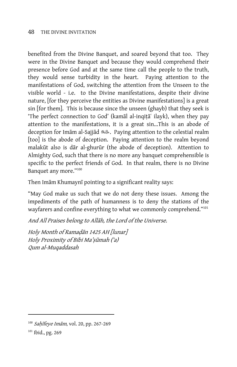benefited from the Divine Banquet, and soared beyond that too. They were in the Divine Banquet and because they would comprehend their presence before God and at the same time call the people to the truth, they would sense turbidity in the heart. Paying attention to the manifestations of God, switching the attention from the Unseen to the visible world - i.e. to the Divine manifestations, despite their divine nature, [for they perceive the entities as Divine manifestations] is a great sin [for them]. This is because since the unseen (ghayb) that they seek is 'The perfect connection to God' (kamal al-inqita ilayk), when they pay attention to the manifestations, it is a great sin...This is an abode of deception for Imām al-Sajjād . للصليف Paying attention to the celestial realm [too] is the abode of deception. Paying attention to the realm beyond malakūt also is dār al-ghurūr (the abode of deception). Attention to Almighty God, such that there is no more any banquet comprehensible is specific to the perfect friends of God. In that realm, there is no Divine Banquet any more."100

Then Imām Khumaynī pointing to a significant reality says:

"May God make us such that we do not deny these issues. Among the impediments of the path of humanness is to deny the stations of the wayfarers and confine everything to what we commonly comprehend."<sup>101</sup>

And All Praises belong to Allah, the Lord of the Universe.

Holy Month of Ramadān 1425 AH [lunar] Holy Proximity of Bibi Ma'şūmah ('a) Qum al-Muqaddasah

<sup>&</sup>lt;sup>100</sup> Sahīfeye Imām, vol. 20, pp. 267-269

<sup>&</sup>lt;sup>101</sup> Ibid., pg. 269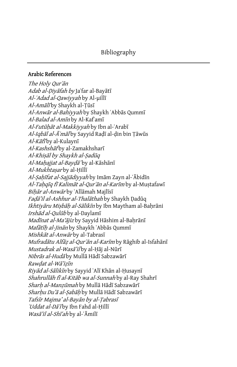#### Arabic References

The Holy Qur'an Adab al-Diyafah by Jaʿfar al-Bayātī Al-'Adad al-Qawiyyah by Al-uillī Al-Amālīby Shaykh al-Tūsī Al-Anwār al-Bahiyyah by Shaykh ʿAbbās Qummī Al-Balad al-Amīn by Al-Kaf`amī Al-Futūhāt al-Makkiyyah by Ibn al-ʿArabī Al-Iqbāl al-Āʿmālby Sayyid Radī al-din bin Tāwūs Al-Kāfī by al-Kulaynī Al-Kashshāf by al-Zamakhsharī Al-Khişāl by Shaykh al-Şadūq Al-Mahajjat al-Baydā'by al-Kāshānī Al-Mukhtaşar by al-Hillī Al-Sahīfat al-Sajjādiyyah by Imām Zayn al-ʿĀbidīn Al-Tahqīq fī Kalimāt al-Qur'ān al-Karīm by al-Mustafawī Bihār al-Anwārby ʿAllāmah Majlīsī *Fadā'il al-Ashhur al-Thalāthah* by Shaykh Dadūg Ikhtiyāru Misbāh al-Sālikīn by Ibn Maytham al-Bahrāni *Irshād al-Qulūb* by al-Daylamī Madīnat al-Ma'ājiz by Sayyid Hāshim al-Bahrānī *Mafātīh al-Jinān* by Shaykh ʿAbbās Qummī Mishkāt al-Anwārby al-Tabrasī Mufradātu Alfāz al-Qur'ān al-Karīm by Rāghib al-Isfahānī Mustadrak al-Wasā'ilby al-Hāj al-Nūrī *Nibrās al-Hudā* by Mullā Hādī Sabzawārī Rawdat al-Wā'izīn *Riyād al-Sālikīn* by Sayyid ʿAlī Khān al-Husaynī Shahrullāh fī al-Kitāb wa al-Sunnah by al-Ray Shahrī *Sharh al-Manzūmah* by Mullā Hādī Sabzawārī Sharhu Du'ā al-Şabāh by Mullā Hādī Sabzawārī Tafsīr Majma' al-Bayān by al-Tabrasī 'Uddat al-Dā'ī by Ibn Fahd al-Hillī Wasa'il al-Shīʻah by al-ʿĀmilī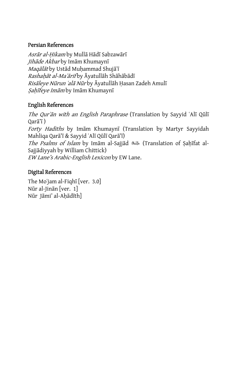### Persian References

Asrār al-Hikam by Mullā Hādī Sabzawārī Jihāde Akbar by Imām Khumaynī Maqālāt by Ustād Muhammad Shujāʿī Rashahāt al-Maʿārif by Āyatullāh Shāhābādī Risāleye Nūrun ʿalā Nūr by Āyatullāh Hasan Zadeh Amulī Sahīfeye Imām by Imām Khumaynī

# English References

The Qur'an with an English Paraphrase (Translation by Sayyid 'Alī Qūlī Qarā'ī) Forty Hadiths by Imām Khumaynī (Translation by Martyr Sayyidah Mahliqa Qarā'ī & Sayyid ʿAlī Qūlī Qarā'ī) The Psalms of Islam by Imam al-Sajjad <a>[/>Lettranslation of Sahīfat al-Sajjādiyyah by William Chittick) EW Lane's Arabic-English Lexicon by EW Lane.

# Digital References

The Mo'jam al-Fiqhī [ver. 3.0] Nūr al-Jinān [ver.  $1$ ] Nūr Jāmi' al-Ahādīth]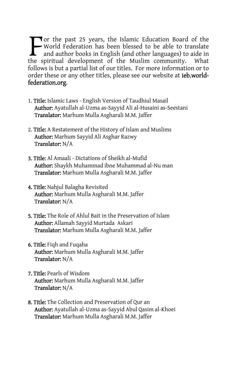Tor the past 25 years, the Islamic Education Board of the World Federation has been blessed to be able to translate and author books in English (and other languages) to aide in the spiritual development of the Muslim community. What follows is but a partial list of our titles. For more information or to order these or any other titles, please see our website at ieb.worldfederation.org.  $\sum_{\text{and}}^{\text{or}}$ 

- 1. Title: Islamic Laws English Version of Taudhiul Masail Author: Ayatullah al-Uzma as-Sayyid Ali al-Husaini as-Seestani Translator: Marhum Mulla Asgharali M.M. Jaffer
- 2. Title: A Restatement of the History of Islam and Muslims Author: Marhum Sayyid Ali Asghar Razwy Translator: N/A
- 3. Title: Al Amaali Dictations of Sheikh al-Mufid Author: Shaykh Muhammad ibne Muhammad al-Nu man Translator: Marhum Mulla Asgharali M.M. Jaffer
- 4. Title: Nahjul Balagha Revisited Author: Marhum Mulla Asgharali M.M. Jaffer Translator: N/A
- 5. Title: The Role of Ahlul Bait in the Preservation of Islam Author: Allamah Sayyid Murtada Askari Translator: Marhum Mulla Asgharali M.M. Jaffer
- 6. Title: Fiqh and Fuqaha Author: Marhum Mulla Asgharali M.M. Jaffer Translator: N/A
- 7. Title: Pearls of Wisdom Author: Marhum Mulla Asgharali M.M. Jaffer Translator: N/A
- **8. Title:** The Collection and Preservation of Qur an Author: Ayatullah al-Uzma as-Sayyid Abul Qasim al-Khoei Translator: Marhum Mulla Asgharali M.M. Jaffer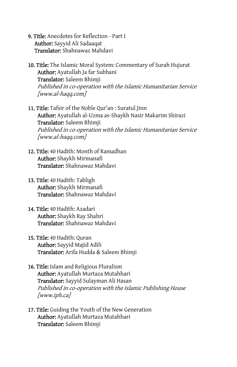- 9. Title: Anecdotes for Reflection Part I Author: Sayyid Ali Sadaaqat Translator: Shahnawaz Mahdavi
- **10. Title:** The Islamic Moral System: Commentary of Surah Hujurat Author: Ayatullah Ja far Subhani Translator: Saleem Bhimji Published in co-operation with the Islamic Humanitarian Service [www.al-haqq.com]
- 11. Title: Tafsir of the Noble Qur'an : Suratul Jinn Author: Ayatullah al-Uzma as-Shaykh Nasir Makarim Shirazi Translator: Saleem Bhimji Published in co-operation with the Islamic Humanitarian Service [www.al-haqq.com]
- 12. Title: 40 Hadith: Month of Ramadhan Author: Shaykh Mirmanafi Translator: Shahnawaz Mahdavi
- 13. Title: 40 Hadith: Tabligh Author: Shaykh Mirmanafi Translator: Shahnawaz Mahdavi
- 14. Title: 40 Hadith: Azadari Author: Shaykh Ray Shahri Translator: Shahnawaz Mahdavi
- 15. Title: 40 Hadith: Quran Author: Sayyid Majid Adili Translator: Arifa Hudda & Saleem Bhimji
- **16. Title:** Islam and Religious Pluralism Author: Ayatullah Murtaza Mutahhari Translator: Sayyid Sulayman Ali Hasan Published in co-operation with the Islamic Publishing House [www.iph.ca]
- **17. Title:** Guiding the Youth of the New Generation Author: Ayatullah Murtaza Mutahhari Translator: Saleem Bhimji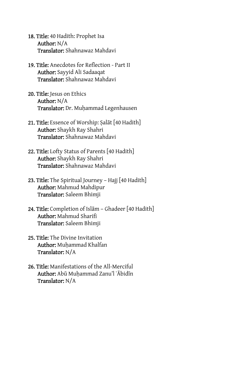- 18. Title: 40 Hadith: Prophet Isa Author: N/A Translator: Shahnawaz Mahdavi
- 19. Title: Anecdotes for Reflection Part II Author: Sayyid Ali Sadaaqat Translator: Shahnawaz Mahdavi
- 20. Title: Jesus on Ethics Author: N/A Translator: Dr. Muhammad Legenhausen
- 21. Title: Essence of Worship: Salat  $[40$  Hadith] Author: Shaykh Ray Shahri Translator: Shahnawaz Mahdavi
- 22. Title: Lofty Status of Parents [40 Hadith] Author: Shaykh Ray Shahri Translator: Shahnawaz Mahdavi
- 23. Title: The Spiritual Journey Hajj [40 Hadith] Author: Mahmud Mahdipur Translator: Saleem Bhimji
- 24. Title: Completion of Islam Ghadeer [40 Hadith] Author: Mahmud Sharifi Translator: Saleem Bhimji
- 25. Title: The Divine Invitation Author: Muhammad Khalfan Translator: N/A
- 26. Title: Manifestations of the All-Merciful Author: Abū Muhammad Zanu'l ʿĀbidīn Translator: N/A